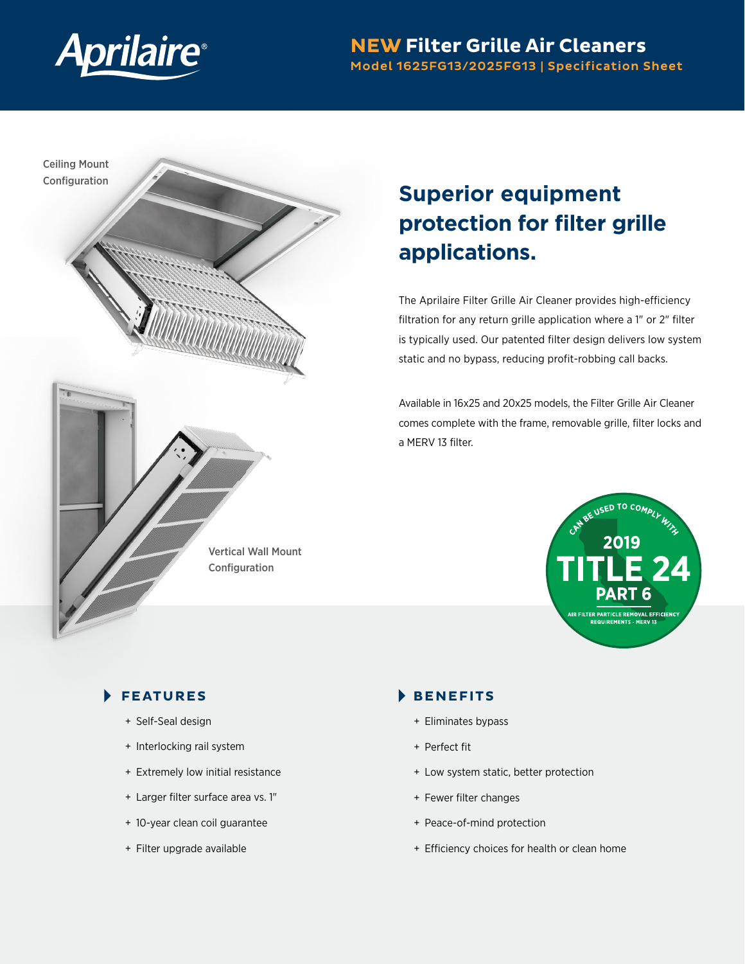

## **NEW Filter Grille Air Cleaners** Model 1625FG13/2025FG13 | Specification Sheet



# **Superior equipment protection for filter grille applications.**

The Aprilaire Filter Grille Air Cleaner provides high-efficiency filtration for any return grille application where a 1" or 2" filter is typically used. Our patented filter design delivers low system static and no bypass, reducing profit-robbing call backs.

Available in 16x25 and 20x25 models, the Filter Grille Air Cleaner comes complete with the frame, removable grille, filter locks and a MERV 13 filter.



## **FEATURES**

- + Self-Seal design
- + Interlocking rail system
- + Extremely low initial resistance
- + Larger filter surface area vs. 1"
- + 10-year clean coil guarantee
- + Filter upgrade available

### **BENEFITS**

- + Eliminates bypass
- + Perfect fit
- + Low system static, better protection
- + Fewer filter changes
- + Peace-of-mind protection
- + Efficiency choices for health or clean home